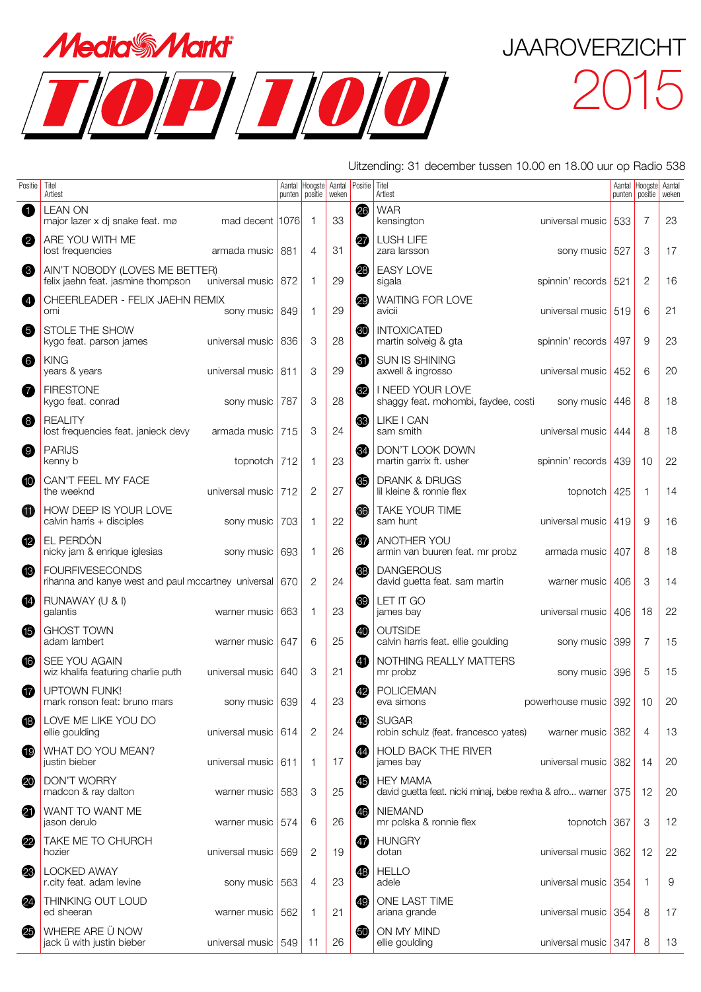



Uitzending: 31 december tussen 10.00 en 18.00 uur op Radio 538

| Positie          | Titel<br>Artiest                                                                            |     | Aantal Hoogste<br>punten   positie | Aantal<br>weken | Positie  | Titel<br>Artiest                                                                |     | Aantal Hoogste<br>punten   positie | Aantal<br>weken |
|------------------|---------------------------------------------------------------------------------------------|-----|------------------------------------|-----------------|----------|---------------------------------------------------------------------------------|-----|------------------------------------|-----------------|
| 0                | <b>LEAN ON</b><br>mad decent 1076<br>major lazer x di snake feat. mø                        |     | 1                                  | 33              | 26       | <b>WAR</b><br>kensington<br>universal music                                     | 533 | $\overline{7}$                     | 23              |
| 2                | ARE YOU WITH ME<br>lost frequencies<br>armada music                                         | 881 | $\overline{4}$                     | 31              | $\bf{r}$ | <b>LUSH LIFE</b><br>sony music 527<br>zara larsson                              |     | 3                                  | 17              |
| 6                | AIN'T NOBODY (LOVES ME BETTER)<br>universal music 872<br>felix jaehn feat. jasmine thompson |     | 1                                  | 29              | 28       | <b>EASY LOVE</b><br>sigala<br>spinnin' records 521                              |     | 2                                  | 16              |
| 4                | CHEERLEADER - FELIX JAEHN REMIX<br>sony music 849<br>omi                                    |     | 1                                  | 29              | 29       | WAITING FOR LOVE<br>universal music 519<br>avicii                               |     | 6                                  | 21              |
| 6                | STOLE THE SHOW<br>kygo feat. parson james<br>universal music                                | 836 | 3                                  | 28              | 30       | <b>INTOXICATED</b><br>martin solveig & gta<br>spinnin' records                  | 497 | 9                                  | 23              |
| $\bullet$        | <b>KING</b><br>years & years<br>universal music 811                                         |     | 3                                  | 29              | 6        | SUN IS SHINING<br>axwell & ingrosso<br>universal music                          | 452 | 6                                  | 20              |
| 0                | <b>FIRESTONE</b><br>kygo feat. conrad<br>sony music                                         | 787 | 3                                  | 28              | $_{32}$  | I NEED YOUR LOVE<br>shaggy feat. mohombi, faydee, costi<br>sony music           | 446 | 8                                  | 18              |
| 8                | <b>REALITY</b><br>lost frequencies feat. janieck devy<br>armada music                       | 715 | 3                                  | 24              | 33       | LIKE I CAN<br>sam smith<br>universal music                                      | 444 | 8                                  | 18              |
| $\boldsymbol{0}$ | <b>PARIJS</b><br>kenny b<br>topnotch 712                                                    |     | 1                                  | 23              | 34       | DON'T LOOK DOWN<br>martin garrix ft. usher<br>spinnin' records                  | 439 | 10                                 | 22              |
| $\bf \Phi$       | CAN'T FEEL MY FACE<br>the weeknd<br>universal music                                         | 712 | 2                                  | 27              | 65       | DRANK & DRUGS<br>lil kleine & ronnie flex<br>topnotch                           | 425 | -1                                 | 14              |
| ⊕                | HOW DEEP IS YOUR LOVE<br>calvin harris + disciples<br>sony music                            | 703 | 1                                  | 22              | 36       | TAKE YOUR TIME<br>sam hunt<br>universal music                                   | 419 | 9                                  | 16              |
| ⑫                | EL PERDÓN<br>nicky jam & enrique iglesias<br>sony music                                     | 693 | 1                                  | 26              | \$       | ANOTHER YOU<br>armin van buuren feat. mr probz<br>armada music                  | 407 | 8                                  | 18              |
| ❸                | <b>FOURFIVESECONDS</b><br>rihanna and kanye west and paul mccartney universal 670           |     | $\overline{2}$                     | 24              | 68       | <b>DANGEROUS</b><br>david guetta feat. sam martin<br>warner music               | 406 | 3                                  | 14              |
| ❹                | RUNAWAY (U & I)<br>galantis<br>warner music                                                 | 663 | 1                                  | 23              | 39       | LET IT GO<br>james bay<br>universal music                                       | 406 | 18                                 | 22              |
| ⊕                | <b>GHOST TOWN</b><br>adam lambert<br>warner music                                           | 647 | 6                                  | 25              | 40       | <b>OUTSIDE</b><br>calvin harris feat. ellie goulding<br>sony music              | 399 | $\overline{7}$                     | 15              |
| 16               | SEE YOU AGAIN<br>wiz khalifa featuring charlie puth<br>universal music                      | 640 | 3                                  | 21              | 40       | NOTHING REALLY MATTERS<br>mr probz<br>sony music 396                            |     | 5                                  | 15              |
| ⊕                | <b>UPTOWN FUNK!</b><br>sony music 639<br>mark ronson feat: bruno mars                       |     | $\overline{4}$                     | 23              | 42       | <b>POLICEMAN</b><br>powerhouse music 392 10<br>eva simons                       |     |                                    | 20              |
| <b>B</b>         | LOVE ME LIKE YOU DO<br>ellie goulding<br>universal music 614                                |     | 2                                  | 24              | 43       | <b>SUGAR</b><br>warner music 382<br>robin schulz (feat. francesco yates)        |     | 4                                  | 13              |
| $\mathbf \Phi$   | WHAT DO YOU MEAN?<br>universal music 611<br>justin bieber                                   |     | $\mathbf{1}$                       | 17              | 44       | <b>HOLD BACK THE RIVER</b><br>james bay<br>universal music 382                  |     | 14                                 | 20              |
| 20               | <b>DON'T WORRY</b><br>madcon & ray dalton<br>warner music                                   | 583 | 3                                  | 25              | 45       | <b>HEY MAMA</b><br>david guetta feat. nicki minaj, bebe rexha & afro warner 375 |     | -12                                | 20              |
| 4                | WANT TO WANT ME<br>jason derulo<br>warner music                                             | 574 | 6                                  | 26              | 46       | <b>NIEMAND</b><br>mr polska & ronnie flex<br>topnotch $367$                     |     | 3                                  | 12              |
| 22               | TAKE ME TO CHURCH<br>universal music<br>hozier                                              | 569 | 2                                  | 19              | 47       | <b>HUNGRY</b><br>dotan<br>universal music 362                                   |     | 12                                 | 22              |
| 23               | <b>LOCKED AWAY</b><br>r.city feat. adam levine<br>sony music                                | 563 | 4                                  | 23              | 48       | <b>HELLO</b><br>adele<br>universal music 354                                    |     | 1                                  | 9               |
| 2                | THINKING OUT LOUD<br>ed sheeran<br>warner music                                             | 562 | 1                                  | 21              | (49)     | ONE LAST TIME<br>ariana grande<br>universal music 354                           |     | 8                                  | 17              |
| 25               | WHERE ARE Ü NOW<br>jack ü with justin bieber<br>universal music 549                         |     | 11                                 | 26              | 50       | ON MY MIND<br>ellie goulding<br>universal music 347                             |     | 8                                  | 13              |
|                  |                                                                                             |     |                                    |                 |          |                                                                                 |     |                                    |                 |